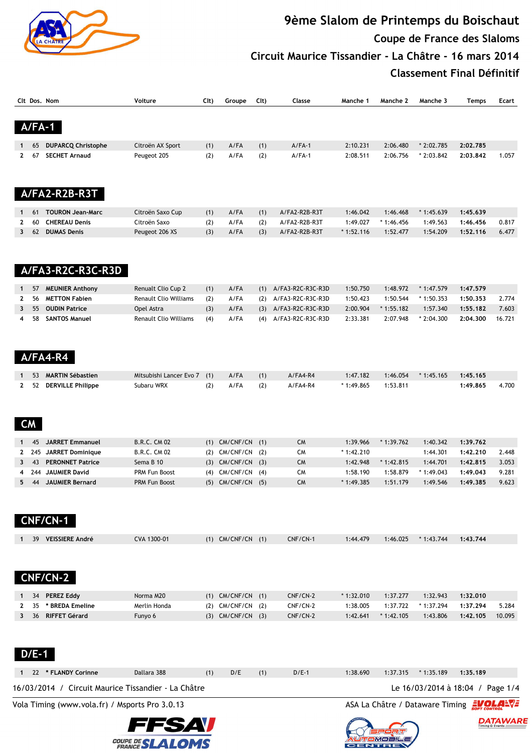

# **9ème Slalom de Printemps du Boischaut Coupe de France des Slaloms Circuit Maurice Tissandier - La Châtre - 16 mars 2014 Classement Final Définitif**

|              |           | Clt Dos, Nom                                        | Voiture                 | Clt) | Groupe                | Cl <sub>t</sub> | Classe            | Manche 1    | Manche 2    | Manche 3                                | Temps    | Ecart  |
|--------------|-----------|-----------------------------------------------------|-------------------------|------|-----------------------|-----------------|-------------------|-------------|-------------|-----------------------------------------|----------|--------|
|              | $A/FA-1$  |                                                     |                         |      |                       |                 |                   |             |             |                                         |          |        |
|              | 65        | <b>DUPARCQ Christophe</b>                           | Citroën AX Sport        | (1)  | A/FA                  | (1)             | $A/FA-1$          | 2:10.231    | 2:06.480    | * 2:02.785                              | 2:02.785 |        |
| 2            | 67        | <b>SECHET Arnaud</b>                                | Peugeot 205             | (2)  | A/FA                  | (2)             | $A/FA-1$          | 2:08.511    | 2:06.756    | $*2:03.842$                             | 2:03.842 | 1.057  |
|              |           |                                                     |                         |      |                       |                 |                   |             |             |                                         |          |        |
|              |           | A/FA2-R2B-R3T                                       |                         |      |                       |                 |                   |             |             |                                         |          |        |
| 1            | 61        | <b>TOURON Jean-Marc</b>                             | Citroën Saxo Cup        | (1)  | A/FA                  | (1)             | A/FA2-R2B-R3T     | 1:46.042    | 1:46.468    | $*1:45.639$                             | 1:45.639 |        |
| 2            | 60        | <b>CHEREAU Denis</b>                                | Citroën Saxo            | (2)  | A/FA                  | (2)             | A/FA2-R2B-R3T     | 1:49.027    | $*1:46.456$ | 1:49.563                                | 1:46.456 | 0.817  |
| 3            | 62        | <b>DUMAS Denis</b>                                  | Peugeot 206 XS          | (3)  | A/FA                  | (3)             | A/FA2-R2B-R3T     | $*1:52.116$ | 1:52.477    | 1:54.209                                | 1:52.116 | 6.477  |
|              |           | A/FA3-R2C-R3C-R3D                                   |                         |      |                       |                 |                   |             |             |                                         |          |        |
| 1            | 57        | <b>MEUNIER Anthony</b>                              | Renualt Clio Cup 2      | (1)  | A/FA                  | (1)             | A/FA3-R2C-R3C-R3D | 1:50.750    | 1:48.972    | $*1:47.579$                             | 1:47.579 |        |
| 2            | 56        | <b>METTON Fabien</b>                                | Renault Clio Williams   | (2)  | A/FA                  | (2)             | A/FA3-R2C-R3C-R3D | 1:50.423    | 1:50.544    | $*1:50.353$                             | 1:50.353 | 2.774  |
| 3            | 55        | <b>OUDIN Patrice</b>                                | Opel Astra              | (3)  | A/FA                  | (3)             | A/FA3-R2C-R3C-R3D | 2:00.904    | $*1:55.182$ | 1:57.340                                | 1:55.182 | 7.603  |
| 4            | 58        | <b>SANTOS Manuel</b>                                | Renault Clio Williams   | (4)  | A/FA                  | (4)             | A/FA3-R2C-R3C-R3D | 2:33.381    | 2:07.948    | $*2:04.300$                             | 2:04.300 | 16.721 |
|              |           | A/FA4-R4                                            |                         |      |                       |                 |                   |             |             |                                         |          |        |
| 1            | 53        | <b>MARTIN Sébastien</b>                             | Mitsubishi Lancer Evo 7 | (1)  | A/FA                  |                 | $A/FA4-R4$        | 1:47.182    | 1:46.054    | $*1:45.165$                             | 1:45.165 |        |
| $\mathbf{2}$ | 52        | <b>DERVILLE Philippe</b>                            | Subaru WRX              | (2)  | A/FA                  | (1)<br>(2)      | A/FA4-R4          | * 1:49.865  | 1:53.811    |                                         | 1:49.865 | 4.700  |
|              | <b>CM</b> |                                                     |                         |      |                       |                 |                   |             |             |                                         |          |        |
| 1            | 45        | <b>JARRET Emmanuel</b>                              | <b>B.R.C. CM 02</b>     | (1)  | CM/CNF/CN             | (1)             | <b>CM</b>         | 1:39.966    | $*1:39.762$ | 1:40.342                                | 1:39.762 |        |
| $\mathbf{2}$ | 245       | <b>JARRET Dominique</b>                             | B.R.C. CM 02            | (2)  | CM/CNF/CN             | (2)             | <b>CM</b>         | * 1:42.210  |             | 1:44.301                                | 1:42.210 | 2.448  |
| 3            | 43        | <b>PERONNET Patrice</b>                             | Sema B 10               |      | $(3)$ CM/CNF/CN       | (3)             | <b>CM</b>         | 1:42.948    | $*1:42.815$ | 1:44.701                                | 1:42.815 | 3.053  |
| 4            | 244       | <b>JAUMIER David</b>                                | PRM Fun Boost           |      | (4) CM/CNF/CN         | (4)             | CM                | 1:58.190    | 1:58.879    | $*1:49.043$                             | 1:49.043 | 9.281  |
| 5            | 44        | <b>JAUMIER Bernard</b>                              | PRM Fun Boost           |      | (5) CM/CNF/CN (5)     |                 | <b>CM</b>         | * 1:49.385  | 1:51.179    | 1:49.546                                | 1:49.385 | 9.623  |
|              |           | <b>CNF/CN-1</b>                                     |                         |      |                       |                 |                   |             |             |                                         |          |        |
|              | 39        | <b>VEISSIERE André</b>                              | CVA 1300-01             |      | $(1)$ CM/CNF/CN $(1)$ |                 | CNF/CN-1          | 1:44.479    | 1:46.025    | $*1:43.744$                             | 1:43.744 |        |
|              |           | <b>CNF/CN-2</b>                                     |                         |      |                       |                 |                   |             |             |                                         |          |        |
|              | 34        |                                                     | Norma M20               |      | $(1)$ CM/CNF/CN $(1)$ |                 | CNF/CN-2          | $*1:32.010$ | 1:37.277    | 1:32.943                                | 1:32.010 |        |
|              | 35        | * BREDA Emeline                                     | Merlin Honda            |      | (2) CM/CNF/CN         | (2)             | CNF/CN-2          | 1:38.005    | 1:37.722    | * 1:37.294                              | 1:37.294 | 5.284  |
|              | 36        | <b>RIFFET Gérard</b>                                | Funyo 6                 |      | $(3)$ CM/CNF/CN $(3)$ |                 | CNF/CN-2          | 1:42.641    | $*1:42.105$ | 1:43.806                                | 1:42.105 | 10.095 |
| 2<br>3       |           | <b>PEREZ Eddy</b>                                   |                         |      |                       |                 |                   |             |             |                                         |          |        |
|              | $D/E-1$   |                                                     |                         |      |                       |                 |                   |             |             |                                         |          |        |
| 1            |           | 22 * FLANDY Corinne                                 | Dallara 388             | (1)  | D/E                   | (1)             | $D/E-1$           | 1:38.690    | 1:37.315    | $*1:35.189$                             | 1:35.189 |        |
|              |           | 16/03/2014 / Circuit Maurice Tissandier - La Châtre |                         |      |                       |                 |                   |             |             | Le 16/03/2014 à 18:04 / Page 1/4        |          |        |
|              |           | Vola Timing (www.vola.fr) / Msports Pro 3.0.13      |                         |      |                       |                 |                   |             |             | ASA La Châtre / Dataware Timing EVOLANT |          |        |
|              |           |                                                     | FFSAV                   |      |                       |                 |                   |             |             |                                         |          |        |



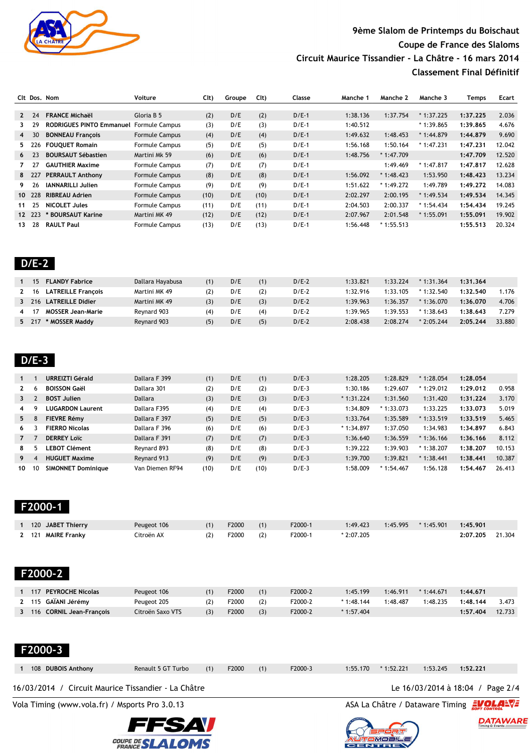

### **9ème Slalom de Printemps du Boischaut Coupe de France des Slaloms Circuit Maurice Tissandier - La Châtre - 16 mars 2014 Classement Final Définitif**

|                |        | Clt Dos. Nom                    | Voiture               | Cl <sub>t</sub> | Groupe | Clt) | Classe  | Manche 1 | Manche 2    | Manche 3    | Temps    | Ecart  |
|----------------|--------|---------------------------------|-----------------------|-----------------|--------|------|---------|----------|-------------|-------------|----------|--------|
|                |        |                                 |                       |                 |        |      |         |          |             |             |          |        |
| $2^{\circ}$    | 24     | <b>FRANCE Michaël</b>           | Gloria B 5            | (2)             | D/E    | (2)  | $D/E-1$ | 1:38.136 | 1:37.754    | $*1:37.225$ | 1:37.225 | 2.036  |
| 3              | 29     | <b>RODRIGUES PINTO Emmanuel</b> | <b>Formule Campus</b> | (3)             | D/E    | (3)  | $D/E-1$ | 1:40.512 |             | $*1:39.865$ | 1:39.865 | 4.676  |
| $\overline{4}$ | 30     | <b>BONNEAU Francois</b>         | <b>Formule Campus</b> | (4)             | D/E    | (4)  | $D/E-1$ | 1:49.632 | 1:48.453    | $*1:44.879$ | 1:44.879 | 9.690  |
| 5.             | 226    | <b>FOUOUET Romain</b>           | <b>Formule Campus</b> | (5)             | D/E    | (5)  | $D/E-1$ | 1:56.168 | 1:50.164    | $*1:47.231$ | 1:47.231 | 12.042 |
| 6              | 23     | <b>BOURSAUT Sébastien</b>       | Martini Mk 59         | (6)             | D/E    | (6)  | $D/E-1$ | 1:48.756 | $*1:47.709$ |             | 1:47.709 | 12.520 |
|                | 27     | <b>GAUTHIER Maxime</b>          | Formule Campus        | (7)             | D/E    | (7)  | $D/E-1$ |          | 1:49.469    | $*1:47.817$ | 1:47.817 | 12.628 |
|                | 8 227  | <b>PERRAULT Anthony</b>         | <b>Formule Campus</b> | (8)             | D/E    | (8)  | $D/E-1$ | 1:56.092 | $*1:48.423$ | 1:53.950    | 1:48.423 | 13.234 |
| 9.             | 26     | <b>IANNARILLI Julien</b>        | <b>Formule Campus</b> | (9)             | D/E    | (9)  | $D/E-1$ | 1:51.622 | $*1:49.272$ | 1:49.789    | 1:49.272 | 14.083 |
|                | 10 228 | <b>RIBREAU Adrien</b>           | <b>Formule Campus</b> | (10)            | D/E    | (10) | $D/E-1$ | 2:02.297 | 2:00.195    | $*1:49.534$ | 1:49.534 | 14.345 |
| 11             | 25     | <b>NICOLET Jules</b>            | <b>Formule Campus</b> | (11)            | D/E    | (11) | $D/E-1$ | 2:04.503 | 2:00.337    | $*1:54.434$ | 1:54.434 | 19.245 |
|                | 12 223 | * BOURSAUT Karine               | Martini MK 49         | (12)            | D/E    | (12) | $D/E-1$ | 2:07.967 | 2:01.548    | $*1:55.091$ | 1:55.091 | 19.902 |
| 13             | 28     | <b>RAULT Paul</b>               | <b>Formule Campus</b> | (13)            | D/E    | (13) | $D/E-1$ | 1:56.448 | $*1:55.513$ |             | 1:55.513 | 20.324 |

|--|

| 15    | <b>FLANDY Fabrice</b>     | Dallara Hayabusa | (1) | D/E | (1) | $D/E-2$ | 1:33.821 | 1:33.224 | $*1:31.364$ | 1:31.364 |        |
|-------|---------------------------|------------------|-----|-----|-----|---------|----------|----------|-------------|----------|--------|
| 2 16  | <b>LATREILLE Francois</b> | Martini MK 49    |     | D/E | (2) | $D/E-2$ | 1:32.916 | 1:33.105 | $*1:32.540$ | 1:32.540 | 1.176  |
| 3 216 | <b>LATREILLE Didier</b>   | Martini MK 49    |     | D/E | (3) | $D/E-2$ | 1:39.963 | 1:36.357 | $*1:36.070$ | 1:36.070 | 4.706  |
|       | <b>MOSSER Jean-Marie</b>  | Reynard 903      | (4  | D/E | (4) | $D/E-2$ | 1:39.965 | 1:39.553 | $*1:38.643$ | 1:38.643 | 7.279  |
| 5 217 | * MOSSER Maddy            | Reynard 903      |     | D/E | (5) | $D/E-2$ | 2:08.438 | 2:08.274 | $*2:05.244$ | 2:05.244 | 33.880 |
|       |                           |                  |     |     |     |         |          |          |             |          |        |

| $\mathbf{1}$ |          | URREIZTI Gérald           | Dallara F 399   | (1)  | D/E | (1)  | $D/E-3$ | 1:28.205    | 1:28.829    | $*1:28.054$ | 1:28.054 |        |
|--------------|----------|---------------------------|-----------------|------|-----|------|---------|-------------|-------------|-------------|----------|--------|
| $\mathbf{2}$ | <b>b</b> | <b>BOISSON Gaël</b>       | Dallara 301     | (2)  | D/E | (2)  | $D/E-3$ | 1:30.186    | 1:29.607    | $*1:29.012$ | 1:29.012 | 0.958  |
| $\mathbf{3}$ |          | <b>BOST Julien</b>        | <b>Dallara</b>  | (3)  | D/E | (3)  | $D/E-3$ | $*1:31.224$ | 1:31.560    | 1:31.420    | 1:31.224 | 3.170  |
| 4            |          | <b>LUGARDON Laurent</b>   | Dallara F395    | (4)  | D/E | (4)  | $D/E-3$ | 1:34.809    | $*1:33.073$ | 1:33.225    | 1:33.073 | 5.019  |
| 5            | 8        | <b>FIEVRE Rémy</b>        | Dallara F 397   | (5)  | D/E | (5)  | $D/E-3$ | 1:33.764    | 1:35.589    | $*1:33.519$ | 1:33.519 | 5.465  |
| 6            |          | <b>FIERRO Nicolas</b>     | Dallara F 396   | (6)  | D/E | (6)  | $D/E-3$ | $*1:34.897$ | 1:37.050    | 1:34.983    | 1:34.897 | 6.843  |
| $7^{\circ}$  |          | <b>DERREY Loïc</b>        | Dallara F 391   | (7)  | D/E | (7)  | $D/E-3$ | 1:36.640    | 1:36.559    | $*1:36.166$ | 1:36.166 | 8.112  |
| 8            |          | <b>LEBOT Clément</b>      | Reynard 893     | (8)  | D/E | (8)  | $D/E-3$ | 1:39.222    | 1:39.903    | $*1:38.207$ | 1:38.207 | 10.153 |
| 9            |          | <b>HUGUET Maxime</b>      | Reynard 913     | (9)  | D/E | (9)  | $D/E-3$ | 1:39.700    | 1:39.821    | $*1:38.441$ | 1:38.441 | 10.387 |
| 10           | 10       | <b>SIMONNET Dominique</b> | Van Diemen RF94 | (10) | D/E | (10) | $D/E-3$ | 1:58.009    | $*1:54.467$ | 1:56.128    | 1:54.467 | 26.413 |

```
 F2000-1
```

| 120 JABET Thierry  | Peugeot 106 | F2000 |     | F2000-1 | 1:49.423    | 1:45.995 | $*1:45.901$ | 1:45.901 |        |
|--------------------|-------------|-------|-----|---------|-------------|----------|-------------|----------|--------|
| 2 121 MAIRE Franky | Citroën AX  | F2000 | (2) | F2000-1 | $*2:07.205$ |          |             | 2:07.205 | 21.304 |

| ١<br>l | Í<br>֚֚֡<br>I | I |  |
|--------|---------------|---|--|
|        |               |   |  |

| <b>PEYROCHE Nicolas</b><br>117 | Peugeot 106      |     | F2000 |     | F2000-2 | 1:45.199    | 1:46.911 | $*1:44.671$ | 1:44.671 |        |
|--------------------------------|------------------|-----|-------|-----|---------|-------------|----------|-------------|----------|--------|
| 2 115 GAÏANI Jérémy            | Peugeot 205      |     | F2000 | (2) | F2000-2 | $*1:48.144$ | 1:48.487 | 1:48.235    | 1:48.144 | 3.473  |
| 116 CORNIL Jean-Francois       | Citroën Saxo VTS | (3) | F2000 | (3) | F2000-2 | $*1:57.404$ |          |             | 1:57.404 | 12.733 |

 **F2000-3** 

| ASA La Châtre / Dataware Timing EVOLAEVE<br>Vola Timing (www.vola.fr) / Msports Pro 3.0.13 |  |  |  |  |  |  |  |  |  |  |  |
|--------------------------------------------------------------------------------------------|--|--|--|--|--|--|--|--|--|--|--|
| Le 16/03/2014 à 18:04 / Page 2/4<br>16/03/2014 / Circuit Maurice Tissandier - La Châtre    |  |  |  |  |  |  |  |  |  |  |  |



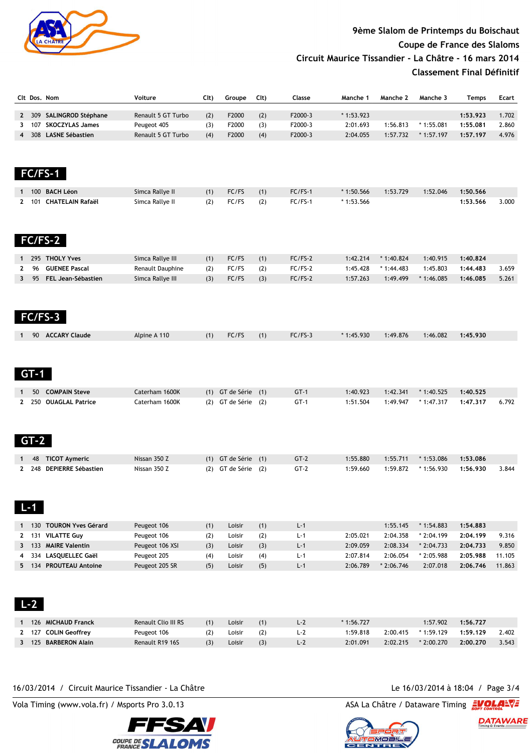

## **9ème Slalom de Printemps du Boischaut Coupe de France des Slaloms Circuit Maurice Tissandier - La Châtre - 16 mars 2014**

**Classement Final Définitif**

|              | Clt Dos. Nom |                                    | Voiture             | Clt) | Groupe                  | $Clt$ ) | Classe    | Manche 1    | Manche 2    | Manche 3    | <b>Temps</b> | <b>Ecart</b> |
|--------------|--------------|------------------------------------|---------------------|------|-------------------------|---------|-----------|-------------|-------------|-------------|--------------|--------------|
|              |              | 2 309 SALINGROD Stéphane           | Renault 5 GT Turbo  | (2)  | F2000                   | (2)     | F2000-3   | $*1:53.923$ |             |             | 1:53.923     | 1.702        |
| 3            | 107          | <b>SKOCZYLAS James</b>             | Peugeot 405         | (3)  | F2000                   | (3)     | F2000-3   | 2:01.693    | 1:56.813    | $*1:55.081$ | 1:55.081     | 2.860        |
| 4            | 308          | <b>LASNE Sébastien</b>             | Renault 5 GT Turbo  | (4)  | F2000                   | (4)     | F2000-3   | 2:04.055    | 1:57.732    | $*1:57.197$ | 1:57.197     | 4.976        |
|              | FC/FS-1      |                                    |                     |      |                         |         |           |             |             |             |              |              |
|              |              |                                    |                     |      |                         |         |           |             |             |             |              |              |
|              | 100          | <b>BACH Léon</b>                   | Simca Rallye II     | (1)  | FC/FS                   | (1)     | $FC/FS-1$ | $*1:50.566$ | 1:53.729    | 1:52.046    | 1:50.566     |              |
| $\mathbf{2}$ | 101          | <b>CHATELAIN Rafaël</b><br>FC/FS-2 | Simca Rallye II     | (2)  | FC/FS                   | (2)     | $FC/FS-1$ | $*1:53.566$ |             |             | 1:53.566     | 3.000        |
| 1            |              | 295 THOLY Yves                     | Simca Rallye III    | (1)  | FC/FS                   | (1)     | $FC/FS-2$ | 1:42.214    | $*1:40.824$ | 1:40.915    | 1:40.824     |              |
| 2            | 96           | <b>GUENEE Pascal</b>               | Renault Dauphine    | (2)  | FC/FS                   | (2)     | $FC/FS-2$ | 1:45.428    | * 1:44.483  | 1:45.803    | 1:44.483     | 3.659        |
| $\mathbf{3}$ | 95           | FEL Jean-Sébastien                 | Simca Rallye III    | (3)  | FC/FS                   | (3)     | $FC/FS-2$ | 1:57.263    | 1:49.499    | $*1:46.085$ | 1:46.085     | 5.261        |
|              |              |                                    |                     |      |                         |         |           |             |             |             |              |              |
| $\mathbf{1}$ |              | 90 ACCARY Claude                   | Alpine A 110        | (1)  | FC/FS                   | (1)     | $FC/FS-3$ | $*1:45.930$ | 1:49.876    | 1:46.082    | 1:45.930     |              |
| 1            | $GT-1$<br>50 | <b>COMPAIN Steve</b>               | Caterham 1600K      | (1)  | GT de Série (1)         |         | $GT-1$    | 1:40.923    | 1:42.341    | $*1:40.525$ | 1:40.525     |              |
| $\mathbf{2}$ | 250          | <b>OUAGLAL Patrice</b>             | Caterham 1600K      | (2)  | GT de Série (2)         |         | $GT-1$    | 1:51.504    | 1:49.947    | $*1:47.317$ | 1:47.317     | 6.792        |
|              | $GT-2$       |                                    |                     |      |                         |         |           |             |             |             |              |              |
| 1            | 48           | <b>TICOT Aymeric</b>               | Nissan 350 Z        |      | $(1)$ GT de Série $(1)$ |         | $GT-2$    | 1:55.880    | 1:55.711    | $*1:53.086$ | 1:53.086     |              |
| $\mathbf{2}$ | $L - 1$      | 248 DEPIERRE Sébastien             | Nissan 350 Z        |      | (2) GT de Série (2)     |         | $GT-2$    | 1:59.660    | 1:59.872    | * 1:56.930  | 1:56.930     | 3.844        |
|              |              | 1 130 TOURON Yves Gérard           | Peugeot 106         | (1)  | Loisir                  | (1)     | $L - 1$   |             | 1:55.145    | $*1:54.883$ | 1:54.883     |              |
| $\mathbf{2}$ |              | 131 VILATTE Guy                    | Peugeot 106         | (2)  | Loisir                  | (2)     | $L - 1$   | 2:05.021    | 2:04.358    | $*2:04.199$ | 2:04.199     | 9.316        |
|              |              | 3 133 MAIRE Valentin               | Peugeot 106 XSI     | (3)  | Loisir                  | (3)     | $L - 1$   | 2:09.059    | 2:08.334    | $*2:04.733$ | 2:04.733     | 9.850        |
| 4            |              | 334 LASQUELLEC Gaël                | Peugeot 205         | (4)  | Loisir                  | (4)     | $L - 1$   | 2:07.814    | 2:06.054    | $*2:05.988$ | 2:05.988     | 11.105       |
|              | $L - 2$      | 5 134 PROUTEAU Antoine             | Peugeot 205 SR      | (5)  | Loisir                  | (5)     | $L - 1$   | 2:06.789    | $*2:06.746$ | 2:07.018    | 2:06.746     | 11.863       |
|              |              | 1 126 MICHAUD Franck               | Renault Clio III RS | (1)  | Loisir                  | (1)     | $L-2$     | $*1:56.727$ |             | 1:57.902    | 1:56.727     |              |
| $\mathbf{2}$ |              | 127 COLIN Geoffrey                 | Peugeot 106         | (2)  | Loisir                  | (2)     | $L-2$     | 1:59.818    | 2:00.415    | * 1:59.129  | 1:59.129     | 2.402        |
|              |              | 3 125 BARBERON Alain               | Renault R19 16S     | (3)  | Loisir                  | (3)     | $L-2$     | 2:01.091    | 2:02.215    | $*2:00.270$ | 2:00.270     | 3.543        |
|              |              |                                    |                     |      |                         |         |           |             |             |             |              |              |

#### 16/03/2014 / Circuit Maurice Tissandier - La Châtre Le 16/03/2014 à 18:04 / Page 3/4

Vola Timing (www.vola.fr) / Msports Pro 3.0.13 ASA La Châtre / Dataware Timing 2004.



DATAWARE